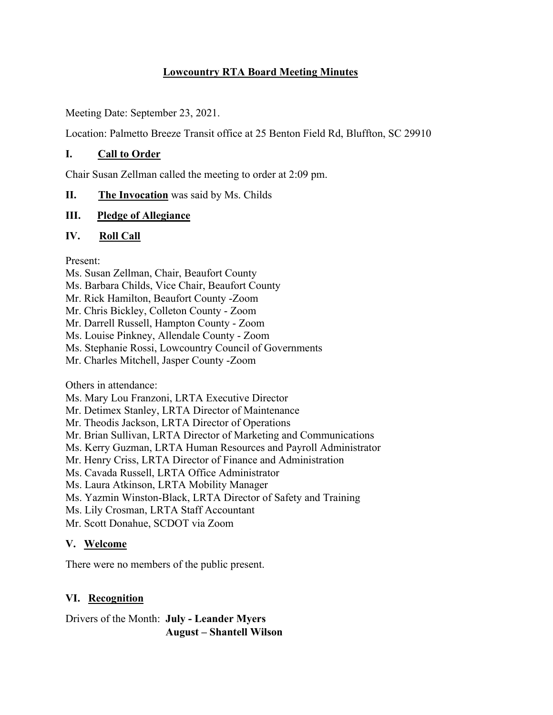## **Lowcountry RTA Board Meeting Minutes**

Meeting Date: September 23, 2021.

Location: Palmetto Breeze Transit office at 25 Benton Field Rd, Bluffton, SC 29910

### **I. Call to Order**

Chair Susan Zellman called the meeting to order at 2:09 pm.

### **II. The Invocation** was said by Ms. Childs

### **III. Pledge of Allegiance**

### **IV. Roll Call**

Present:

Ms. Susan Zellman, Chair, Beaufort County Ms. Barbara Childs, Vice Chair, Beaufort County Mr. Rick Hamilton, Beaufort County -Zoom Mr. Chris Bickley, Colleton County - Zoom Mr. Darrell Russell, Hampton County - Zoom Ms. Louise Pinkney, Allendale County - Zoom Ms. Stephanie Rossi, Lowcountry Council of Governments Mr. Charles Mitchell, Jasper County -Zoom

Others in attendance:

Ms. Mary Lou Franzoni, LRTA Executive Director

Mr. Detimex Stanley, LRTA Director of Maintenance

Mr. Theodis Jackson, LRTA Director of Operations

Mr. Brian Sullivan, LRTA Director of Marketing and Communications

Ms. Kerry Guzman, LRTA Human Resources and Payroll Administrator

Mr. Henry Criss, LRTA Director of Finance and Administration

Ms. Cavada Russell, LRTA Office Administrator

Ms. Laura Atkinson, LRTA Mobility Manager

Ms. Yazmin Winston-Black, LRTA Director of Safety and Training

Ms. Lily Crosman, LRTA Staff Accountant

Mr. Scott Donahue, SCDOT via Zoom

## **V. Welcome**

There were no members of the public present.

# **VI. Recognition**

Drivers of the Month: **July - Leander Myers August – Shantell Wilson**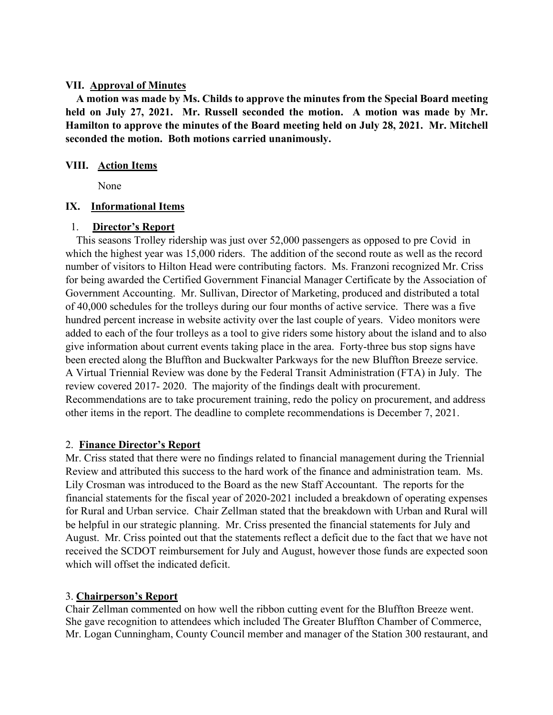#### **VII. Approval of Minutes**

 **A motion was made by Ms. Childs to approve the minutes from the Special Board meeting held on July 27, 2021. Mr. Russell seconded the motion. A motion was made by Mr. Hamilton to approve the minutes of the Board meeting held on July 28, 2021. Mr. Mitchell seconded the motion. Both motions carried unanimously.**

#### **VIII. Action Items**

None

### **IX. Informational Items**

### 1. **Director's Report**

 This seasons Trolley ridership was just over 52,000 passengers as opposed to pre Covid in which the highest year was 15,000 riders. The addition of the second route as well as the record number of visitors to Hilton Head were contributing factors. Ms. Franzoni recognized Mr. Criss for being awarded the Certified Government Financial Manager Certificate by the Association of Government Accounting. Mr. Sullivan, Director of Marketing, produced and distributed a total of 40,000 schedules for the trolleys during our four months of active service. There was a five hundred percent increase in website activity over the last couple of years. Video monitors were added to each of the four trolleys as a tool to give riders some history about the island and to also give information about current events taking place in the area. Forty-three bus stop signs have been erected along the Bluffton and Buckwalter Parkways for the new Bluffton Breeze service. A Virtual Triennial Review was done by the Federal Transit Administration (FTA) in July. The review covered 2017- 2020. The majority of the findings dealt with procurement. Recommendations are to take procurement training, redo the policy on procurement, and address other items in the report. The deadline to complete recommendations is December 7, 2021.

## 2. **Finance Director's Report**

Mr. Criss stated that there were no findings related to financial management during the Triennial Review and attributed this success to the hard work of the finance and administration team. Ms. Lily Crosman was introduced to the Board as the new Staff Accountant. The reports for the financial statements for the fiscal year of 2020-2021 included a breakdown of operating expenses for Rural and Urban service. Chair Zellman stated that the breakdown with Urban and Rural will be helpful in our strategic planning. Mr. Criss presented the financial statements for July and August. Mr. Criss pointed out that the statements reflect a deficit due to the fact that we have not received the SCDOT reimbursement for July and August, however those funds are expected soon which will offset the indicated deficit.

## 3. **Chairperson's Report**

Chair Zellman commented on how well the ribbon cutting event for the Bluffton Breeze went. She gave recognition to attendees which included The Greater Bluffton Chamber of Commerce, Mr. Logan Cunningham, County Council member and manager of the Station 300 restaurant, and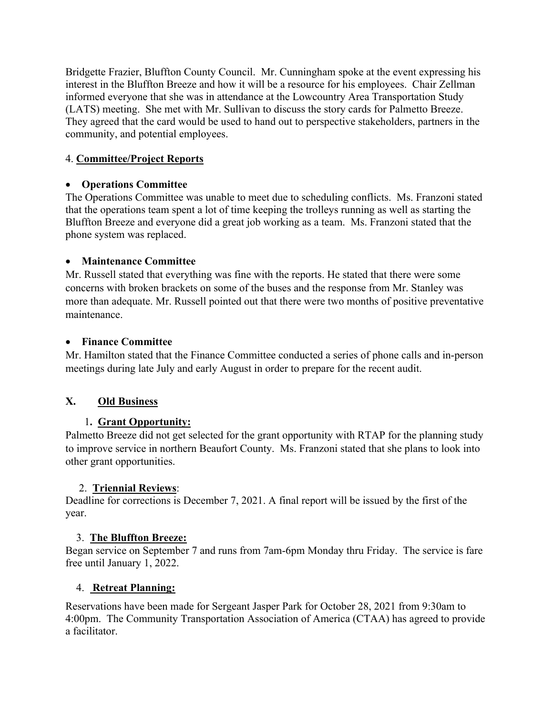Bridgette Frazier, Bluffton County Council. Mr. Cunningham spoke at the event expressing his interest in the Bluffton Breeze and how it will be a resource for his employees. Chair Zellman informed everyone that she was in attendance at the Lowcountry Area Transportation Study (LATS) meeting. She met with Mr. Sullivan to discuss the story cards for Palmetto Breeze. They agreed that the card would be used to hand out to perspective stakeholders, partners in the community, and potential employees.

## 4. **Committee/Project Reports**

## • **Operations Committee**

The Operations Committee was unable to meet due to scheduling conflicts. Ms. Franzoni stated that the operations team spent a lot of time keeping the trolleys running as well as starting the Bluffton Breeze and everyone did a great job working as a team. Ms. Franzoni stated that the phone system was replaced.

## • **Maintenance Committee**

Mr. Russell stated that everything was fine with the reports. He stated that there were some concerns with broken brackets on some of the buses and the response from Mr. Stanley was more than adequate. Mr. Russell pointed out that there were two months of positive preventative maintenance.

## • **Finance Committee**

Mr. Hamilton stated that the Finance Committee conducted a series of phone calls and in-person meetings during late July and early August in order to prepare for the recent audit.

# **X. Old Business**

# 1**. Grant Opportunity:**

Palmetto Breeze did not get selected for the grant opportunity with RTAP for the planning study to improve service in northern Beaufort County. Ms. Franzoni stated that she plans to look into other grant opportunities.

## 2. **Triennial Reviews**:

Deadline for corrections is December 7, 2021. A final report will be issued by the first of the year.

## 3. **The Bluffton Breeze:**

Began service on September 7 and runs from 7am-6pm Monday thru Friday. The service is fare free until January 1, 2022.

# 4. **Retreat Planning:**

Reservations have been made for Sergeant Jasper Park for October 28, 2021 from 9:30am to 4:00pm. The Community Transportation Association of America (CTAA) has agreed to provide a facilitator.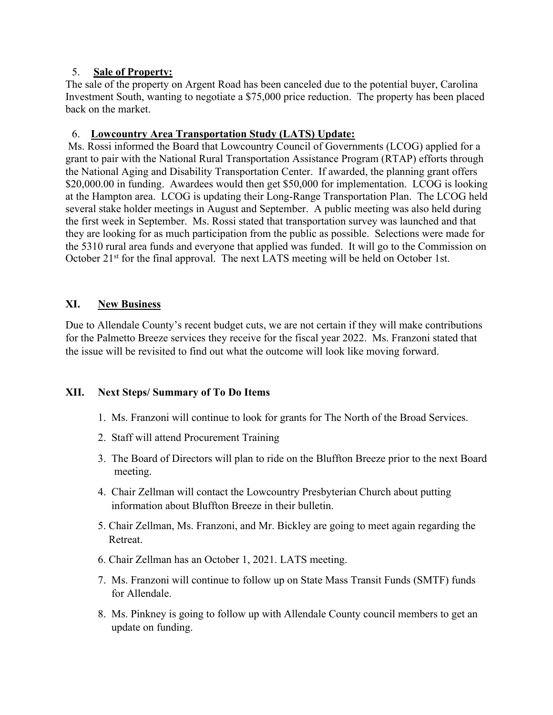### 5. **Sale of Property:**

The sale of the property on Argent Road has been canceled due to the potential buyer, Carolina Investment South, wanting to negotiate a \$75,000 price reduction. The property has been placed back on the market.

## 6. **Lowcountry Area Transportation Study (LATS) Update:**

Ms. Rossi informed the Board that Lowcountry Council of Governments (LCOG) applied for a grant to pair with the National Rural Transportation Assistance Program (RTAP) efforts through the National Aging and Disability Transportation Center. If awarded, the planning grant offers \$20,000.00 in funding. Awardees would then get \$50,000 for implementation. LCOG is looking at the Hampton area. LCOG is updating their Long-Range Transportation Plan. The LCOG held several stake holder meetings in August and September. A public meeting was also held during the first week in September. Ms. Rossi stated that transportation survey was launched and that they are looking for as much participation from the public as possible. Selections were made for the 5310 rural area funds and everyone that applied was funded. It will go to the Commission on October 21<sup>st</sup> for the final approval. The next LATS meeting will be held on October 1st.

## **XI. New Business**

Due to Allendale County's recent budget cuts, we are not certain if they will make contributions for the Palmetto Breeze services they receive for the fiscal year 2022. Ms. Franzoni stated that the issue will be revisited to find out what the outcome will look like moving forward.

## **XII. Next Steps/ Summary of To Do Items**

- 1. Ms. Franzoni will continue to look for grants for The North of the Broad Services.
- 2. Staff will attend Procurement Training
- 3. The Board of Directors will plan to ride on the Bluffton Breeze prior to the next Board meeting.
- 4. Chair Zellman will contact the Lowcountry Presbyterian Church about putting information about Bluffton Breeze in their bulletin.
- 5. Chair Zellman, Ms. Franzoni, and Mr. Bickley are going to meet again regarding the Retreat.
- 6. Chair Zellman has an October 1, 2021. LATS meeting.
- 7. Ms. Franzoni will continue to follow up on State Mass Transit Funds (SMTF) funds for Allendale.
- 8. Ms. Pinkney is going to follow up with Allendale County council members to get an update on funding.